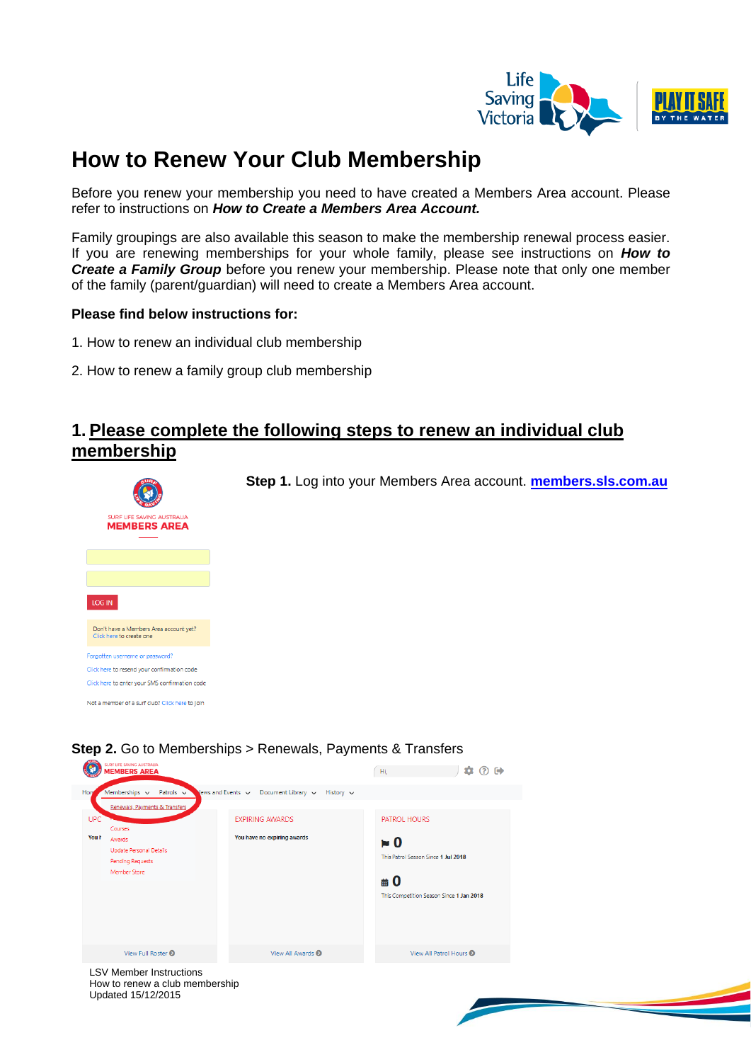

# **How to Renew Your Club Membership**

Before you renew your membership you need to have created a Members Area account. Please refer to instructions on *How to Create a Members Area Account.*

Family groupings are also available this season to make the membership renewal process easier. If you are renewing memberships for your whole family, please see instructions on *How to Create a Family Group* before you renew your membership. Please note that only one member of the family (parent/guardian) will need to create a Members Area account.

### **Please find below instructions for:**

- 1. How to renew an individual club membership
- 2. How to renew a family group club membership

### **1. Please complete the following steps to renew an individual club membership**





### **Step 2.** Go to Memberships > Renewals, Payments & Transfers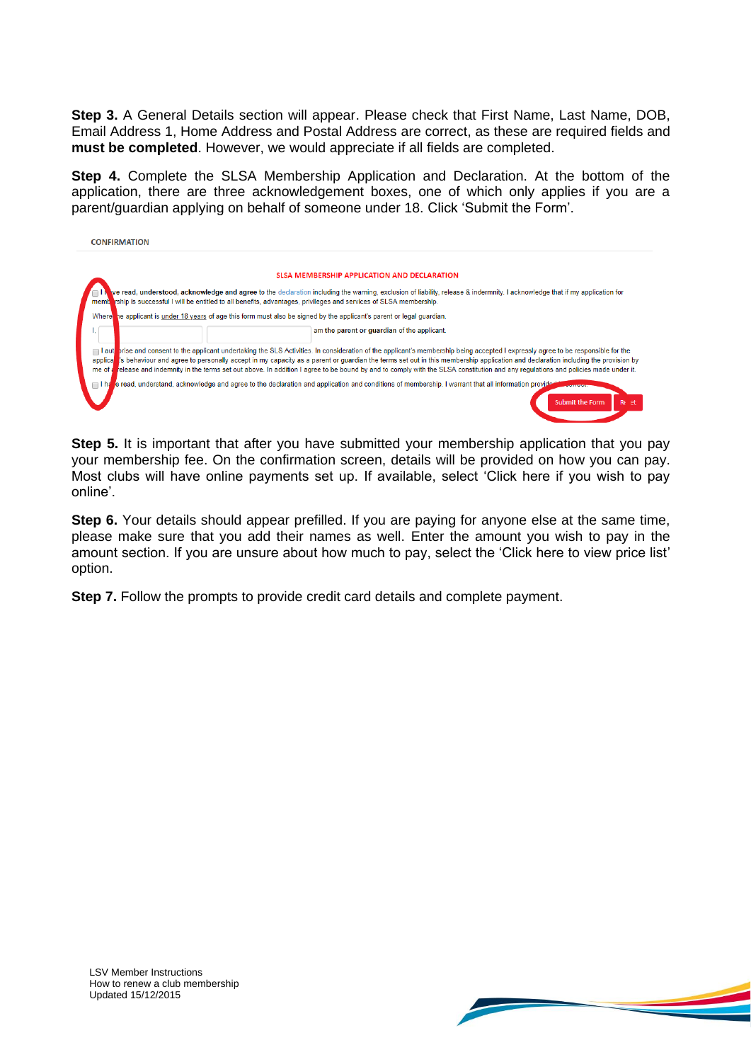**Step 3.** A General Details section will appear. Please check that First Name, Last Name, DOB, Email Address 1, Home Address and Postal Address are correct, as these are required fields and **must be completed**. However, we would appreciate if all fields are completed.

**Step 4.** Complete the SLSA Membership Application and Declaration. At the bottom of the application, there are three acknowledgement boxes, one of which only applies if you are a parent/guardian applying on behalf of someone under 18. Click 'Submit the Form'.

| <b>CONFIRMATION</b> |                                                                                                                                                                                                                                                                                                                                                                                                                                                                                                                                                                |
|---------------------|----------------------------------------------------------------------------------------------------------------------------------------------------------------------------------------------------------------------------------------------------------------------------------------------------------------------------------------------------------------------------------------------------------------------------------------------------------------------------------------------------------------------------------------------------------------|
|                     | <b>SLSA MEMBERSHIP APPLICATION AND DECLARATION</b>                                                                                                                                                                                                                                                                                                                                                                                                                                                                                                             |
|                     | ve read, understood, acknowledge and agree to the declaration including the warning, exclusion of liability, release & indermnity. I acknowledge that if my application for<br>membring is successful I will be entitled to all benefits, advantages, privileges and services of SLSA membership.                                                                                                                                                                                                                                                              |
| Where               | he applicant is <i>under 18 years</i> of age this form must also be signed by the applicant's parent or legal guardian.                                                                                                                                                                                                                                                                                                                                                                                                                                        |
|                     | am the parent or quardian of the applicant.                                                                                                                                                                                                                                                                                                                                                                                                                                                                                                                    |
| me of a             | I authorise and consent to the applicant undertaking the SLS Activities. In consideration of the applicant's membership being accepted I expressly agree to be responsible for the<br>applica. Is behaviour and agree to personally accept in my capacity as a parent or quardian the terms set out in this membership application and declaration including the provision by<br>release and indemnity in the terms set out above. In addition I agree to be bound by and to comply with the SLSA constitution and any regulations and policies made under it. |
|                     | e read, understand, acknowledge and agree to the declaration and application and conditions of membership. I warrant that all information provider<br><b>Submit the Form</b><br>Re et                                                                                                                                                                                                                                                                                                                                                                          |

**Step 5.** It is important that after you have submitted your membership application that you pay your membership fee. On the confirmation screen, details will be provided on how you can pay. Most clubs will have online payments set up. If available, select 'Click here if you wish to pay online'.

**Step 6.** Your details should appear prefilled. If you are paying for anyone else at the same time, please make sure that you add their names as well. Enter the amount you wish to pay in the amount section. If you are unsure about how much to pay, select the 'Click here to view price list' option.

**Step 7.** Follow the prompts to provide credit card details and complete payment.



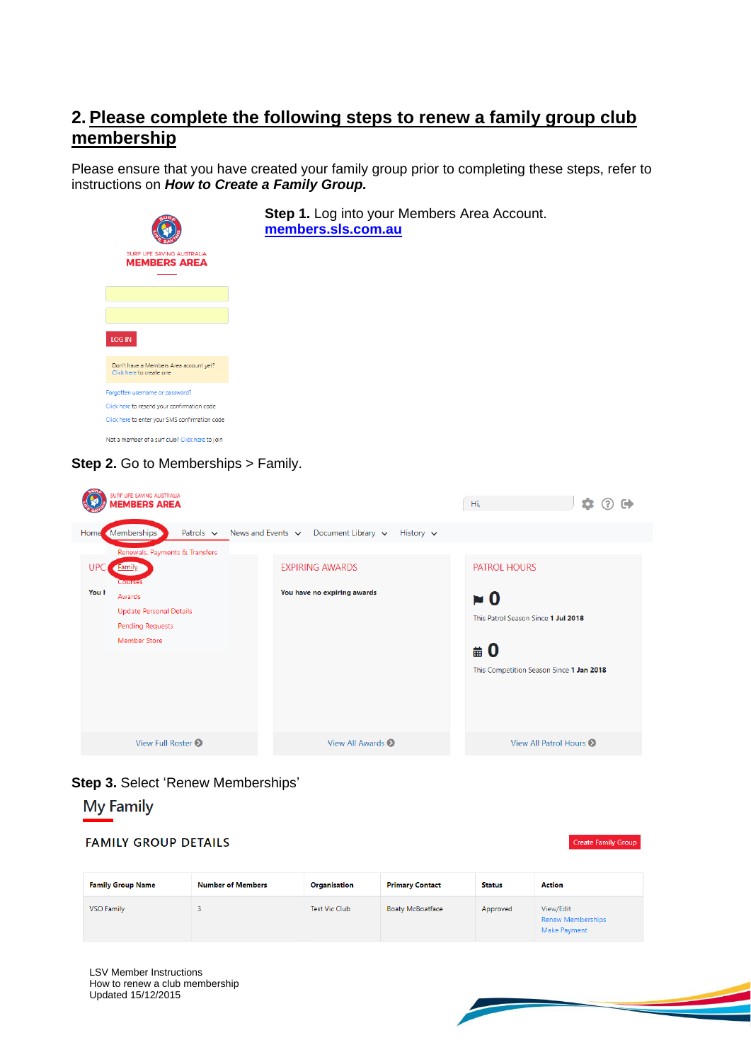### **2. Please complete the following steps to renew a family group club membership**

Please ensure that you have created your family group prior to completing these steps, refer to instructions on *How to Create a Family Group.*



| <b>UPC</b><br>You h | Home (Memberships)<br>Renewals, Payments & Transfers<br><b>Family</b><br>Courses<br>Awards<br>Update Personal Details<br><b>Pending Requests</b><br><b>Member Store</b> | Patrois $\vee$ News and Events $\vee$ Document Library $\vee$ History $\vee$<br><b>EXPIRING AWARDS</b><br>You have no expiring awards | PATROL HOURS<br>$\approx 0$<br>This Patrol Season Since 1 Jul 2018<br>$\#0$ |
|---------------------|-------------------------------------------------------------------------------------------------------------------------------------------------------------------------|---------------------------------------------------------------------------------------------------------------------------------------|-----------------------------------------------------------------------------|
|                     | View Full Roster <sup>O</sup>                                                                                                                                           | View All Awards <sup>O</sup>                                                                                                          | This Competition Season Since 1 Jan 2018<br>View All Patrol Hours 2         |
|                     |                                                                                                                                                                         |                                                                                                                                       |                                                                             |

# **Step 3.** Select 'Renew Memberships'

## **My Family**

| <b>FAMILY GROUP DETAILS</b><br><b>Create Family Group</b> |                          |                      |                         |               |                                                       |  |  |
|-----------------------------------------------------------|--------------------------|----------------------|-------------------------|---------------|-------------------------------------------------------|--|--|
| <b>Family Group Name</b>                                  | <b>Number of Members</b> | Organisation         | <b>Primary Contact</b>  | <b>Status</b> | <b>Action</b>                                         |  |  |
| <b>VSO Family</b>                                         |                          | <b>Test Vic Club</b> | <b>Boaty McBoatface</b> | Approved      | View/Edit<br><b>Renew Memberships</b><br>Make Payment |  |  |

LSV Member Instructions How to renew a club membership Updated 15/12/2015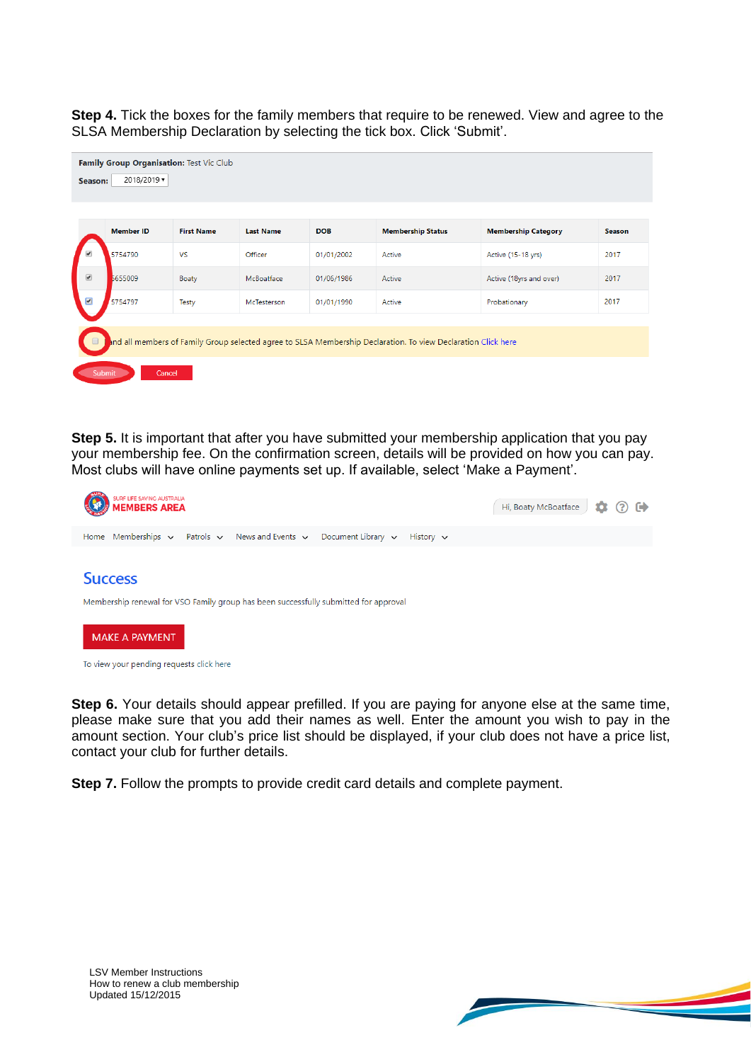**Step 4.** Tick the boxes for the family members that require to be renewed. View and agree to the SLSA Membership Declaration by selecting the tick box. Click 'Submit'.

| Family Group Organisation: Test Vic Club<br>2018/2019 $\blacktriangledown$<br>Season: |                  |                   |                  |            |                                                                                                               |                            |               |
|---------------------------------------------------------------------------------------|------------------|-------------------|------------------|------------|---------------------------------------------------------------------------------------------------------------|----------------------------|---------------|
|                                                                                       | <b>Member ID</b> | <b>First Name</b> | <b>Last Name</b> | <b>DOB</b> | <b>Membership Status</b>                                                                                      | <b>Membership Category</b> | <b>Season</b> |
| $\overline{\mathcal{L}}$                                                              | 5754790          | <b>VS</b>         | Officer          | 01/01/2002 | Active                                                                                                        | Active (15-18 yrs)         | 2017          |
| $\overline{\mathcal{L}}$                                                              | 5655009          | Boaty             | McBoatface       | 01/06/1986 | Active                                                                                                        | Active (18yrs and over)    | 2017          |
| $\overline{\mathbf{v}}$                                                               | 5754797          | <b>Testy</b>      | McTesterson      | 01/01/1990 | Active                                                                                                        | Probationary               | 2017          |
|                                                                                       |                  |                   |                  |            | and all members of Family Group selected agree to SLSA Membership Declaration. To view Declaration Click here |                            |               |

**Step 5.** It is important that after you have submitted your membership application that you pay your membership fee. On the confirmation screen, details will be provided on how you can pay. Most clubs will have online payments set up. If available, select 'Make a Payment'.



To view your pending requests click here

**Step 6.** Your details should appear prefilled. If you are paying for anyone else at the same time, please make sure that you add their names as well. Enter the amount you wish to pay in the amount section. Your club's price list should be displayed, if your club does not have a price list, contact your club for further details.

**Step 7.** Follow the prompts to provide credit card details and complete payment.